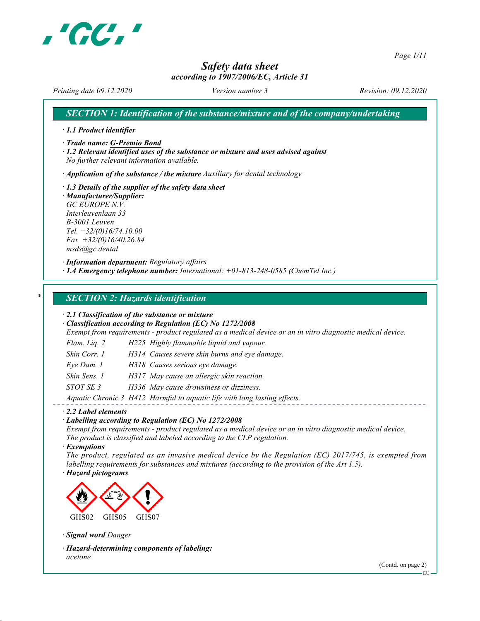

Page 1/11

# Safety data sheet

### according to 1907/2006/EC, Article 31

Printing date 09.12.2020 Version number 3 Revision: 09.12.2020

SECTION 1: Identification of the substance/mixture and of the company/undertaking

· 1.1 Product identifier

· Trade name: G-Premio Bond

· 1.2 Relevant identified uses of the substance or mixture and uses advised against No further relevant information available.

 $\cdot$  Application of the substance / the mixture Auxiliary for dental technology

· 1.3 Details of the supplier of the safety data sheet · Manufacturer/Supplier: GC EUROPE N.V. Interleuvenlaan 33 B-3001 Leuven Tel. +32/(0)16/74.10.00  $Fax +32/(0)16/40.26.84$ msds@gc.dental

· Information department: Regulatory affairs  $\cdot$  1.4 Emergency telephone number: International:  $+01-813-248-0585$  (ChemTel Inc.)

#### **SECTION 2: Hazards identification**

· 2.1 Classification of the substance or mixture

· Classification according to Regulation (EC) No 1272/2008

Exempt from requirements - product regulated as a medical device or an in vitro diagnostic medical device.

- Flam. Liq. 2 H225 Highly flammable liquid and vapour.
- Skin Corr. 1 H314 Causes severe skin burns and eye damage.
- Eye Dam. 1 H318 Causes serious eye damage.
- Skin Sens. 1 H317 May cause an allergic skin reaction.
- STOT SE 3 H336 May cause drowsiness or dizziness.

Aquatic Chronic 3 H412 Harmful to aquatic life with long lasting effects.

#### · 2.2 Label elements

· Labelling according to Regulation (EC) No 1272/2008

Exempt from requirements - product regulated as a medical device or an in vitro diagnostic medical device. The product is classified and labeled according to the CLP regulation.

· Exemptions

The product, regulated as an invasive medical device by the Regulation (EC) 2017/745, is exempted from labelling requirements for substances and mixtures (according to the provision of the Art 1.5).

· Hazard pictograms



· Signal word Danger

· Hazard-determining components of labeling: acetone

(Contd. on page 2)

EU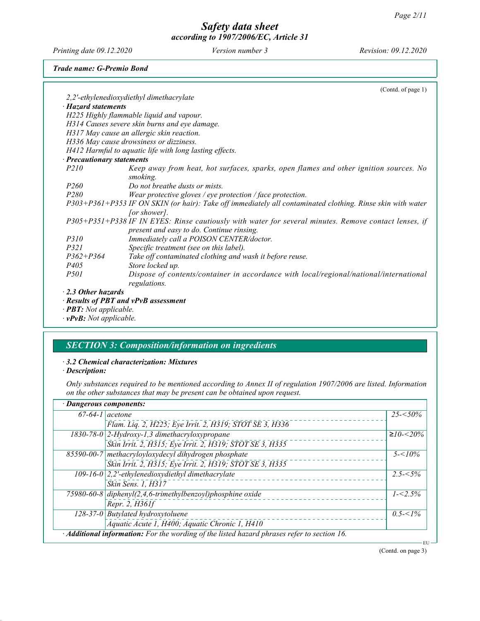Printing date 09.12.2020 Version number 3 Revision: 09.12.2020

#### Trade name: G-Premio Bond

|                                      | (Contd. of page 1)                                                                                         |
|--------------------------------------|------------------------------------------------------------------------------------------------------------|
|                                      | 2,2'-ethylenedioxydiethyl dimethacrylate                                                                   |
| $\cdot$ Hazard statements            |                                                                                                            |
|                                      | H225 Highly flammable liquid and vapour.                                                                   |
|                                      | H314 Causes severe skin burns and eye damage.                                                              |
|                                      | H317 May cause an allergic skin reaction.                                                                  |
|                                      | H336 May cause drowsiness or dizziness.                                                                    |
|                                      | H412 Harmful to aquatic life with long lasting effects.                                                    |
| · Precautionary statements           |                                                                                                            |
| <i>P210</i>                          | Keep away from heat, hot surfaces, sparks, open flames and other ignition sources. No                      |
|                                      | smoking.                                                                                                   |
| <i>P260</i>                          | Do not breathe dusts or mists.                                                                             |
| <i>P280</i>                          | Wear protective gloves / eye protection / face protection.                                                 |
|                                      | P303+P361+P353 IF ON SKIN (or hair): Take off immediately all contaminated clothing. Rinse skin with water |
|                                      | [or shower].                                                                                               |
|                                      | P305+P351+P338 IF IN EYES: Rinse cautiously with water for several minutes. Remove contact lenses, if      |
|                                      | present and easy to do. Continue rinsing.                                                                  |
| <i>P310</i>                          | Immediately call a POISON CENTER/doctor.                                                                   |
| <i>P321</i>                          | Specific treatment (see on this label).                                                                    |
| $P362 + P364$                        | Take off contaminated clothing and wash it before reuse.                                                   |
| <i>P405</i>                          | Store locked up.                                                                                           |
| <i>P501</i>                          | Dispose of contents/container in accordance with local/regional/national/international                     |
|                                      | regulations.                                                                                               |
| $\cdot$ 2.3 Other hazards            |                                                                                                            |
| · Results of PBT and vPvB assessment |                                                                                                            |
|                                      |                                                                                                            |

· PBT: Not applicable.

· vPvB: Not applicable.

## SECTION 3: Composition/information on ingredients

## · 3.2 Chemical characterization: Mixtures

· Description:

Only substances required to be mentioned according to Annex II of regulation 1907/2006 are listed. Information on the other substances that may be present can be obtained upon request.

| · Dangerous components: |                                                                                             |              |
|-------------------------|---------------------------------------------------------------------------------------------|--------------|
| $67-64-1$ acetone       |                                                                                             | $25 - 50\%$  |
|                         | Flam. Liq. 2, H225; Eye Irrit. 2, H319; STOT SE 3, H336                                     |              |
|                         | 1830-78-0 2-Hydroxy-1,3 dimethacryloxypropane                                               | $≥10 - 520%$ |
|                         | Skin Irrit. 2, H315; Eye Irrit. 2, H319; STOT SE 3, H335                                    |              |
|                         | 85590-00-7 methacryloyloxydecyl dihydrogen phosphate                                        | $5 - 10\%$   |
|                         | Skin Irrit. 2, H315; Eye Irrit. 2, H319; STOT SE 3, H335                                    |              |
|                         | 109-16-0 $ 2,2$ '-ethylenedioxydiethyl dimethacrylate                                       | $2.5 - 5\%$  |
|                         | Skin Sens. 1, H317                                                                          |              |
|                         | 75980-60-8 $diphenyl(2, 4, 6-trimethylbenzoyl)phosphine oxide$                              | $1 - 2.5\%$  |
|                         | Repr. 2, H361f                                                                              |              |
|                         | $128-37-0$ Butylated hydroxytoluene                                                         | $0.5 < 1\%$  |
|                         | Aquatic Acute 1, H400; Aquatic Chronic 1, H410                                              |              |
|                         | · Additional information: For the wording of the listed hazard phrases refer to section 16. | EU           |

(Contd. on page 3)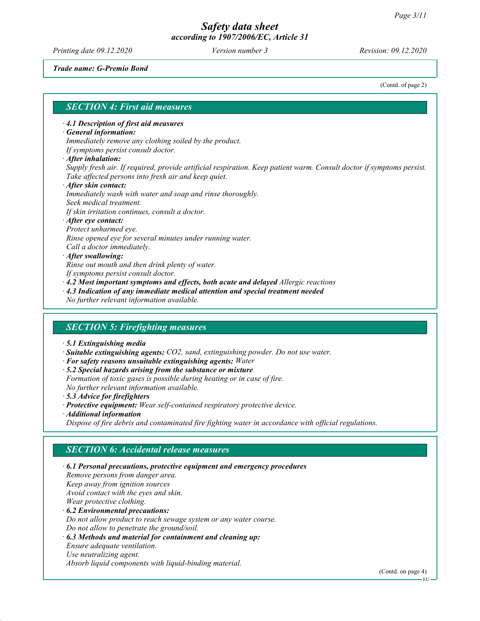Printing date 09.12.2020 Version number 3 Revision: 09.12.2020

Trade name: G-Premio Bond

(Contd. of page 2)

#### SECTION 4: First aid measures

#### · 4.1 Description of first aid measures

#### · General information:

Immediately remove any clothing soiled by the product. If symptoms persist consult doctor.

· After inhalation:

#### Supply fresh air. If required, provide artificial respiration. Keep patient warm. Consult doctor if symptoms persist. Take affected persons into fresh air and keep quiet.

#### · After skin contact: Immediately wash with water and soap and rinse thoroughly. Seek medical treatment. If skin irritation continues, consult a doctor. · After eye contact:

Protect unharmed eye. Rinse opened eye for several minutes under running water. Call a doctor immediately.

#### · After swallowing:

Rinse out mouth and then drink plenty of water.

If symptoms persist consult doctor.

· 4.2 Most important symptoms and effects, both acute and delayed Allergic reactions

- · 4.3 Indication of any immediate medical attention and special treatment needed
- No further relevant information available.

#### SECTION 5: Firefighting measures

- · 5.1 Extinguishing media
- · Suitable extinguishing agents: CO2, sand, extinguishing powder. Do not use water.
- · For safety reasons unsuitable extinguishing agents: Water
- · 5.2 Special hazards arising from the substance or mixture Formation of toxic gases is possible during heating or in case of fire. No further relevant information available.
- · 5.3 Advice for firefighters
- · Protective equipment: Wear self-contained respiratory protective device.
- · Additional information

Dispose of fire debris and contaminated fire fighting water in accordance with official regulations.

#### SECTION 6: Accidental release measures

· 6.1 Personal precautions, protective equipment and emergency procedures Remove persons from danger area. Keep away from ignition sources Avoid contact with the eyes and skin. Wear protective clothing. · 6.2 Environmental precautions: Do not allow product to reach sewage system or any water course. Do not allow to penetrate the ground/soil. · 6.3 Methods and material for containment and cleaning up: Ensure adequate ventilation. Use neutralizing agent. Absorb liquid components with liquid-binding material.

(Contd. on page 4)

EU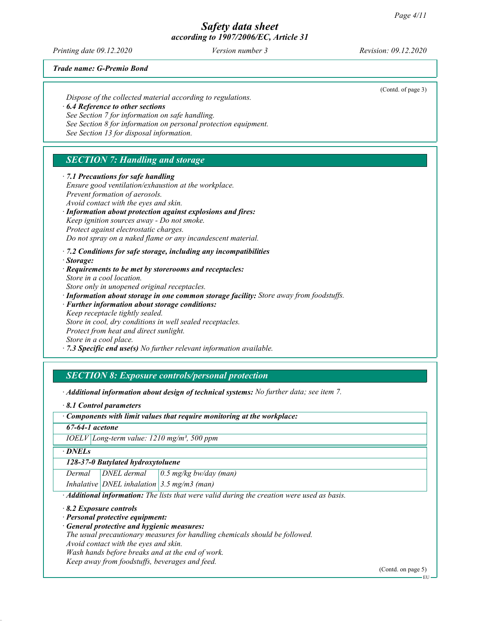Printing date 09.12.2020 Version number 3 Revision: 09.12.2020

(Contd. of page 3)

Trade name: G-Premio Bond

Dispose of the collected material according to regulations. · 6.4 Reference to other sections See Section 7 for information on safe handling. See Section 8 for information on personal protection equipment.

See Section 13 for disposal information.

## SECTION 7: Handling and storage

· 7.1 Precautions for safe handling Ensure good ventilation/exhaustion at the workplace. Prevent formation of aerosols. Avoid contact with the eyes and skin. · Information about protection against explosions and fires: Keep ignition sources away - Do not smoke. Protect against electrostatic charges. Do not spray on a naked flame or any incandescent material. · 7.2 Conditions for safe storage, including any incompatibilities · Storage: · Requirements to be met by storerooms and receptacles: Store in a cool location. Store only in unopened original receptacles. · Information about storage in one common storage facility: Store away from foodstuffs. · Further information about storage conditions:

Keep receptacle tightly sealed. Store in cool, dry conditions in well sealed receptacles. Protect from heat and direct sunlight. Store in a cool place.

 $\cdot$  7.3 Specific end use(s) No further relevant information available.

## SECTION 8: Exposure controls/personal protection

· Additional information about design of technical systems: No further data; see item 7.

· 8.1 Control parameters

· Components with limit values that require monitoring at the workplace:

67-64-1 acetone

IOELV Long-term value: 1210 mg/m³, 500 ppm

· DNELs

128-37-0 Butylated hydroxytoluene

Dermal  $DNEL$  dermal  $0.5$  mg/kg bw/day (man)

Inhalative DNEL inhalation 3.5 mg/m3 (man)

· Additional information: The lists that were valid during the creation were used as basis.

· 8.2 Exposure controls

· Personal protective equipment:

· General protective and hygienic measures:

The usual precautionary measures for handling chemicals should be followed.

Avoid contact with the eyes and skin.

Wash hands before breaks and at the end of work.

Keep away from foodstuffs, beverages and feed.

EU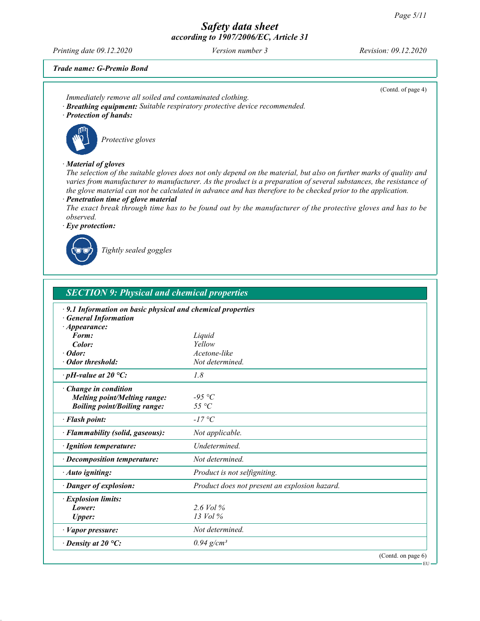Printing date 09.12.2020 Version number 3 Revision: 09.12.2020

(Contd. of page 4)

EU

Trade name: G-Premio Bond

- Immediately remove all soiled and contaminated clothing.
- · Breathing equipment: Suitable respiratory protective device recommended.
- · Protection of hands:



Protective gloves

#### · Material of gloves

The selection of the suitable gloves does not only depend on the material, but also on further marks of quality and varies from manufacturer to manufacturer. As the product is a preparation of several substances, the resistance of the glove material can not be calculated in advance and has therefore to be checked prior to the application.

· Penetration time of glove material

The exact break through time has to be found out by the manufacturer of the protective gloves and has to be observed.

· Eye protection:



Tightly sealed goggles

| <b>SECTION 9: Physical and chemical properties</b>                                                             |                                               |  |
|----------------------------------------------------------------------------------------------------------------|-----------------------------------------------|--|
| 9.1 Information on basic physical and chemical properties<br><b>General Information</b><br>$\cdot$ Appearance: |                                               |  |
| Form:                                                                                                          | Liquid                                        |  |
| Color:                                                                                                         | Yellow                                        |  |
| Odor:                                                                                                          | Acetone-like                                  |  |
| · Odor threshold:                                                                                              | Not determined.                               |  |
| $\cdot$ pH-value at 20 °C:                                                                                     | 1.8                                           |  |
| · Change in condition<br><b>Melting point/Melting range:</b><br><b>Boiling point/Boiling range:</b>            | $-95 °C$<br>$55^{\circ}C$                     |  |
| · Flash point:                                                                                                 | $-17\degree C$                                |  |
| · Flammability (solid, gaseous):                                                                               | Not applicable.                               |  |
| · Ignition temperature:                                                                                        | Undetermined.                                 |  |
| · Decomposition temperature:                                                                                   | Not determined.                               |  |
| · Auto igniting:                                                                                               | Product is not selfigniting.                  |  |
| · Danger of explosion:                                                                                         | Product does not present an explosion hazard. |  |
| · Explosion limits:<br>Lower:<br><b>Upper:</b>                                                                 | 2.6 Vol $\%$<br>13 Vol %                      |  |
| · Vapor pressure:                                                                                              | Not determined.                               |  |
| $\cdot$ Density at 20 °C:                                                                                      | $0.94$ g/cm <sup>3</sup>                      |  |
|                                                                                                                | (Contd. on page 6)                            |  |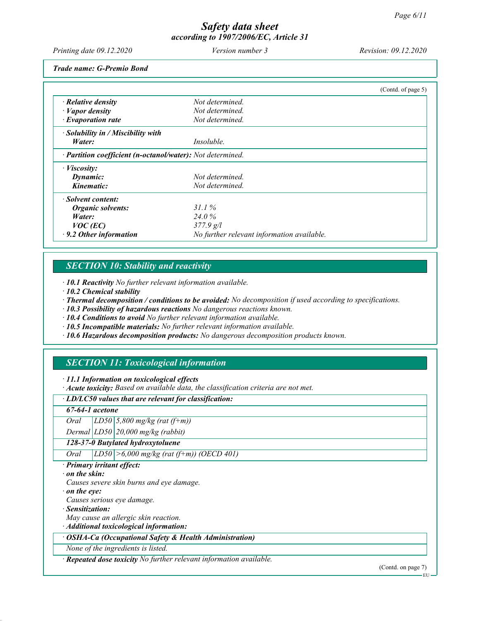Printing date 09.12.2020 Version number 3 Revision: 09.12.2020

Trade name: G-Premio Bond

|                                                            |                                            | (Contd. of page $5$ ) |
|------------------------------------------------------------|--------------------------------------------|-----------------------|
| $\cdot$ Relative density                                   | Not determined.                            |                       |
| $\cdot$ <i>Vapor density</i>                               | Not determined.                            |                       |
| $\cdot$ Evaporation rate                                   | Not determined.                            |                       |
| $\cdot$ Solubility in / Miscibility with                   |                                            |                       |
| Water:                                                     | <i>Insoluble.</i>                          |                       |
| · Partition coefficient (n-octanol/water): Not determined. |                                            |                       |
| $\cdot$ <i>Viscosity:</i>                                  |                                            |                       |
| Dynamic:                                                   | Not determined.                            |                       |
| Kinematic:                                                 | Not determined.                            |                       |
| · Solvent content:                                         |                                            |                       |
| Organic solvents:                                          | 31.1%                                      |                       |
| Water:                                                     | 24.0%                                      |                       |
| $VOC$ (EC)                                                 | $377.9$ g/l                                |                       |
| $\cdot$ 9.2 Other information                              | No further relevant information available. |                       |

## SECTION 10: Stability and reactivity

· 10.1 Reactivity No further relevant information available.

· 10.2 Chemical stability

· Thermal decomposition / conditions to be avoided: No decomposition if used according to specifications.

· 10.3 Possibility of hazardous reactions No dangerous reactions known.

· 10.4 Conditions to avoid No further relevant information available.

· 10.5 Incompatible materials: No further relevant information available.

· 10.6 Hazardous decomposition products: No dangerous decomposition products known.

## SECTION 11: Toxicological information

· 11.1 Information on toxicological effects

· Acute toxicity: Based on available data, the classification criteria are not met.

#### · LD/LC50 values that are relevant for classification:

67-64-1 acetone

Oral  $LD50 \mid 5,800 \text{ mg/kg}$  (rat (f+m))

Dermal  $LD50$  20,000 mg/kg (rabbit)

128-37-0 Butylated hydroxytoluene

Oral  $|LDS0| > 6,000$  mg/kg (rat (f+m)) (OECD 401)

- · Primary irritant effect:
- · on the skin:

Causes severe skin burns and eye damage.

· on the eye:

Causes serious eye damage.

- · Sensitization:
- May cause an allergic skin reaction.

· Additional toxicological information:

· OSHA-Ca (Occupational Safety & Health Administration)

None of the ingredients is listed.

· Repeated dose toxicity No further relevant information available.

(Contd. on page 7)

EU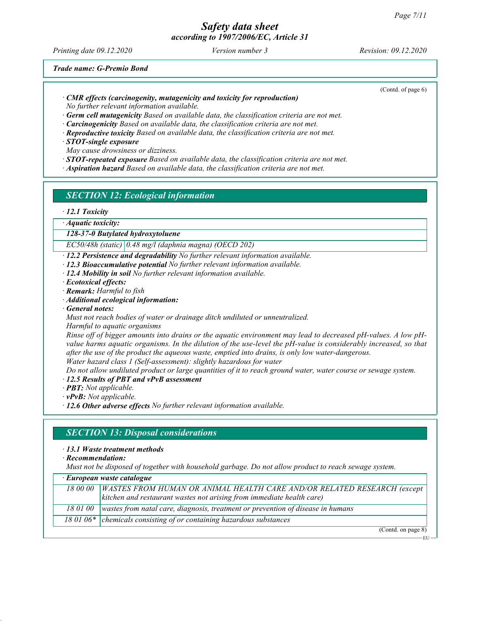Printing date 09.12.2020 Version number 3 Revision: 09.12.2020

(Contd. of page 6)

Trade name: G-Premio Bond

· CMR effects (carcinogenity, mutagenicity and toxicity for reproduction)

No further relevant information available.

 $\cdot$  Germ cell mutagenicity Based on available data, the classification criteria are not met.

- $\cdot$  **Carcinogenicity** Based on available data, the classification criteria are not met.
- · Reproductive toxicity Based on available data, the classification criteria are not met.

· STOT-single exposure

May cause drowsiness or dizziness.

- $\cdot$  **STOT-repeated exposure** Based on available data, the classification criteria are not met.
- · Aspiration hazard Based on available data, the classification criteria are not met.

## SECTION 12: Ecological information

#### · 12.1 Toxicity

· Aquatic toxicity:

128-37-0 Butylated hydroxytoluene

EC50/48h (static) 0.48 mg/l (daphnia magna) (OECD 202)

- · 12.2 Persistence and degradability No further relevant information available.
- $\cdot$  12.3 Bioaccumulative potential No further relevant information available.
- $\cdot$  12.4 Mobility in soil No further relevant information available.
- · Ecotoxical effects:
- · Remark: Harmful to fish
- · Additional ecological information:
- · General notes:
- Must not reach bodies of water or drainage ditch undiluted or unneutralized.

Harmful to aquatic organisms

Rinse off of bigger amounts into drains or the aquatic environment may lead to decreased pH-values. A low pHvalue harms aquatic organisms. In the dilution of the use-level the pH-value is considerably increased, so that after the use of the product the aqueous waste, emptied into drains, is only low water-dangerous. Water hazard class 1 (Self-assessment): slightly hazardous for water

Do not allow undiluted product or large quantities of it to reach ground water, water course or sewage system.

· 12.5 Results of PBT and vPvB assessment

- · PBT: Not applicable.
- · vPvB: Not applicable.

 $\cdot$  12.6 Other adverse effects No further relevant information available.

#### SECTION 13: Disposal considerations

#### · 13.1 Waste treatment methods

· Recommendation:

Must not be disposed of together with household garbage. Do not allow product to reach sewage system.

| $\cdot$ European waste catalogue |                                                                                            |
|----------------------------------|--------------------------------------------------------------------------------------------|
|                                  | 18 00 00   WASTES FROM HUMAN OR ANIMAL HEALTH CARE AND/OR RELATED RESEARCH (except         |
|                                  | kitchen and restaurant wastes not arising from immediate health care)                      |
|                                  | 18 01 00   wastes from natal care, diagnosis, treatment or prevention of disease in humans |
|                                  | 18 01 06 $*$ chemicals consisting of or containing hazardous substances                    |

(Contd. on page 8)

EU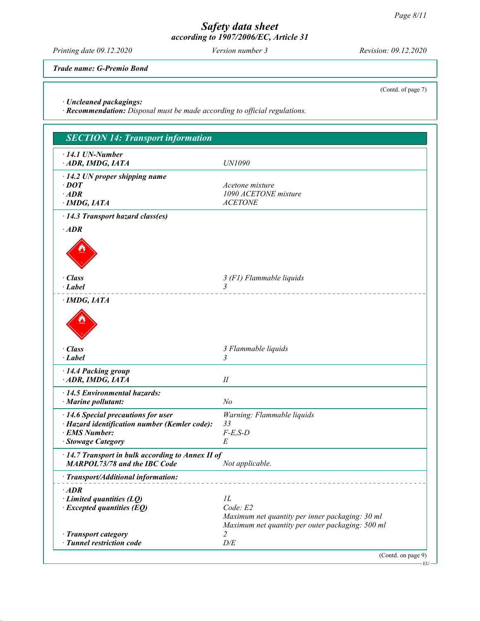Printing date 09.12.2020 Version number 3 Revision: 09.12.2020

Trade name: G-Premio Bond

(Contd. of page 7)

· Uncleaned packagings:

· Recommendation: Disposal must be made according to official regulations.

| <b>SECTION 14: Transport information</b>                                                                                    |                                                                                                                       |  |
|-----------------------------------------------------------------------------------------------------------------------------|-----------------------------------------------------------------------------------------------------------------------|--|
| $\cdot$ 14.1 UN-Number<br>ADR, IMDG, IATA                                                                                   | UN1090                                                                                                                |  |
| $\cdot$ 14.2 UN proper shipping name<br>$\cdot$ DOT<br>$·$ <i>ADR</i><br>· IMDG, IATA                                       | Acetone mixture<br>1090 ACETONE mixture<br><b>ACETONE</b>                                                             |  |
| · 14.3 Transport hazard class(es)                                                                                           |                                                                                                                       |  |
| $\cdot$ ADR                                                                                                                 |                                                                                                                       |  |
| $\cdot$ Class<br>$\cdot$ <i>Label</i>                                                                                       | 3 (F1) Flammable liquids<br>3                                                                                         |  |
| $\cdot$ IMDG, IATA                                                                                                          |                                                                                                                       |  |
| $\cdot$ Class<br>$\cdot$ Label                                                                                              | 3 Flammable liquids<br>3                                                                                              |  |
| · 14.4 Packing group<br>ADR, IMDG, IATA                                                                                     | $I\!I$                                                                                                                |  |
| $\cdot$ 14.5 Environmental hazards:<br>· Marine pollutant:                                                                  | N <sub>o</sub>                                                                                                        |  |
| · 14.6 Special precautions for user<br>· Hazard identification number (Kemler code):<br>· EMS Number:<br>· Stowage Category | Warning: Flammable liquids<br>33<br>$F-E,S-D$<br>E                                                                    |  |
| $\cdot$ 14.7 Transport in bulk according to Annex II of<br><b>MARPOL73/78 and the IBC Code</b>                              | Not applicable.                                                                                                       |  |
| · Transport/Additional information:                                                                                         |                                                                                                                       |  |
| $\cdot$ ADR<br>$\cdot$ Limited quantities (LQ)<br>$\cdot$ Excepted quantities (EQ)                                          | IL<br>Code: E2<br>Maximum net quantity per inner packaging: 30 ml<br>Maximum net quantity per outer packaging: 500 ml |  |
| · Transport category<br>· Tunnel restriction code                                                                           | 2<br>D/E                                                                                                              |  |
|                                                                                                                             | (Contd. on page 9)                                                                                                    |  |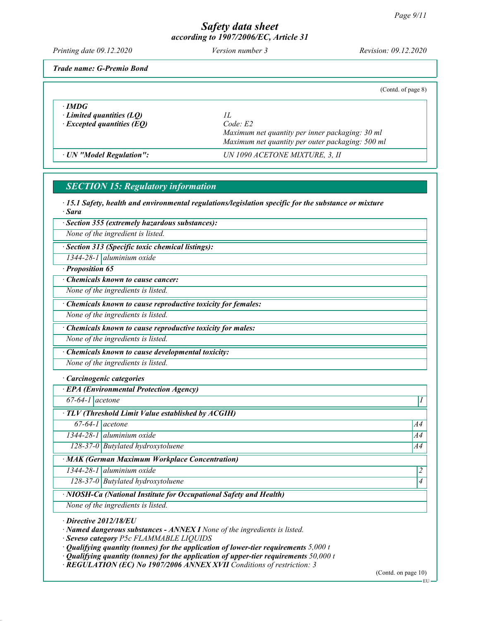Printing date 09.12.2020 Version number 3 Revision: 09.12.2020

Trade name: G-Premio Bond

|                                                                                     | (Contd. of page 8)                                                                                                  |
|-------------------------------------------------------------------------------------|---------------------------------------------------------------------------------------------------------------------|
| $\cdot$ IMDG<br>$\cdot$ Limited quantities (LQ)<br>$\cdot$ Excepted quantities (EQ) | H<br>Code E2<br>Maximum net quantity per inner packaging: 30 ml<br>Maximum net quantity per outer packaging: 500 ml |
| · UN "Model Regulation":                                                            | UN 1090 ACETONE MIXTURE, 3, II                                                                                      |

## SECTION 15: Regulatory information

· 15.1 Safety, health and environmental regulations/legislation specific for the substance or mixture · Sara

· Section 355 (extremely hazardous substances):

None of the ingredient is listed.

· Section 313 (Specific toxic chemical listings):

1344-28-1 aluminium oxide

· Proposition 65

· Chemicals known to cause cancer:

None of the ingredients is listed.

· Chemicals known to cause reproductive toxicity for females:

None of the ingredients is listed.

Chemicals known to cause reproductive toxicity for males:

None of the ingredients is listed.

· Chemicals known to cause developmental toxicity:

None of the ingredients is listed.

#### · Carcinogenic categories

· EPA (Environmental Protection Agency)

 $67-64-1$  acetone  $1$ 

TLV (Threshold Limit Value established by ACGIH)

 $67-64-1$  acetone  $A4$ 

 $1344-28-1$  aluminium oxide  $1344-28-1$ 

128-37-0 Butylated hydroxytoluene A44

· MAK (German Maximum Workplace Concentration)

 $1344-28-1$  aluminium oxide  $\vert 2$ 

128-37-0 Butylated hydroxytoluene 4

· NIOSH-Ca (National Institute for Occupational Safety and Health)

None of the ingredients is listed.

· Directive 2012/18/EU

· Named dangerous substances - ANNEX I None of the ingredients is listed.

· Seveso category P5c FLAMMABLE LIQUIDS

 $\cdot$  Qualifying quantity (tonnes) for the application of lower-tier requirements 5,000 t

 $\cdot$  Qualifying quantity (tonnes) for the application of upper-tier requirements 50,000 t

· REGULATION (EC) No 1907/2006 ANNEX XVII Conditions of restriction: 3

(Contd. on page 10)

EU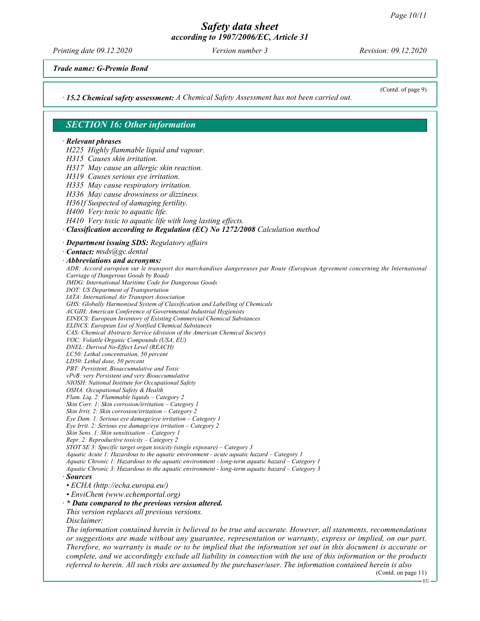Printing date 09.12.2020 Version number 3 Revision: 09.12.2020

(Contd. of page 9)

Trade name: G-Premio Bond

· 15.2 Chemical safety assessment: A Chemical Safety Assessment has not been carried out.

SECTION 16: Other information · Relevant phrases H225 Highly flammable liquid and vapour. H315 Causes skin irritation. H317 May cause an allergic skin reaction. H319 Causes serious eye irritation. H335 May cause respiratory irritation. H336 May cause drowsiness or dizziness. H361f Suspected of damaging fertility. H400 Very toxic to aquatic life. H410 Very toxic to aquatic life with long lasting effects. · Classification according to Regulation (EC) No 1272/2008 Calculation method · Department issuing SDS: Regulatory affairs · Contact: msds@gc.dental · Abbreviations and acronyms: ADR: Accord européen sur le transport des marchandises dangereuses par Route (European Agreement concerning the International Carriage of Dangerous Goods by Road) IMDG: International Maritime Code for Dangerous Goods DOT: US Department of Transportation IATA: International Air Transport Association GHS: Globally Harmonised System of Classification and Labelling of Chemicals ACGIH: American Conference of Governmental Industrial Hygienists EINECS: European Inventory of Existing Commercial Chemical Substances ELINCS: European List of Notified Chemical Substances CAS: Chemical Abstracts Service (division of the American Chemical Society) VOC: Volatile Organic Compounds (USA, EU) DNEL: Derived No-Effect Level (REACH) LC50: Lethal concentration, 50 percent LD50: Lethal dose, 50 percent PBT: Persistent, Bioaccumulative and Toxic vPvB: very Persistent and very Bioaccumulative NIOSH: National Institute for Occupational Safety OSHA: Occupational Safety & Health Flam. Liq. 2: Flammable liquids – Category 2 Skin Corr. 1: Skin corrosion/irritation – Category 1 Skin Irrit. 2: Skin corrosion/irritation – Category 2 Eye Dam. 1: Serious eye damage/eye irritation – Category 1 Eye Irrit. 2: Serious eye damage/eye irritation – Category 2 Skin Sens. 1: Skin sensitisation – Category 1 Repr. 2: Reproductive toxicity – Category 2 STOT SE 3: Specific target organ toxicity (single exposure) – Category 3 Aquatic Acute 1: Hazardous to the aquatic environment - acute aquatic hazard – Category 1 Aquatic Chronic 1: Hazardous to the aquatic environment - long-term aquatic hazard – Category 1 Aquatic Chronic 3: Hazardous to the aquatic environment - long-term aquatic hazard – Category 3 · Sources • ECHA (http://echa.europa.eu/) • EnviChem (www.echemportal.org)  $\cdot$  \* Data compared to the previous version altered. This version replaces all previous versions. Disclaimer: The information contained herein is believed to be true and accurate. However, all statements, recommendations or suggestions are made without any guarantee, representation or warranty, express or implied, on our part. Therefore, no warranty is made or to be implied that the information set out in this document is accurate or complete, and we accordingly exclude all liability in connection with the use of this information or the products

referred to herein. All such risks are assumed by the purchaser/user. The information contained herein is also

(Contd. on page 11)

EU